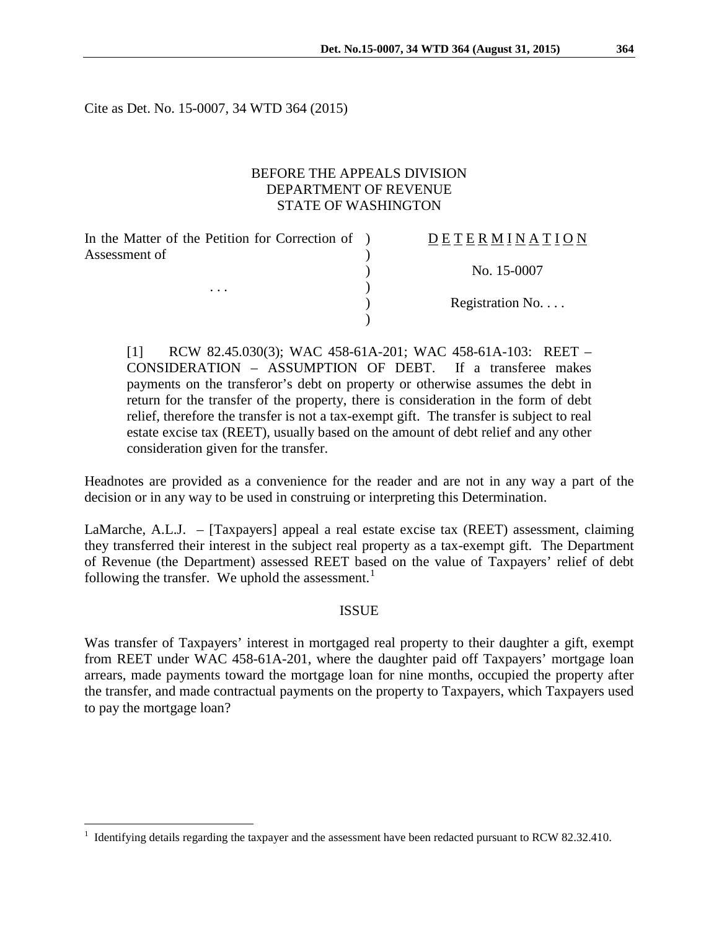Cite as Det. No. 15-0007, 34 WTD 364 (2015)

# BEFORE THE APPEALS DIVISION DEPARTMENT OF REVENUE STATE OF WASHINGTON

 $\lambda$ 

)

In the Matter of the Petition for Correction of ) Assessment of

. . .  $\qquad \qquad$  )

## D E T E R M I N A T I O N

) No. 15-0007

Registration No. . . .

[1] RCW 82.45.030(3); WAC 458-61A-201; WAC 458-61A-103: REET – CONSIDERATION – ASSUMPTION OF DEBT. If a transferee makes payments on the transferor's debt on property or otherwise assumes the debt in return for the transfer of the property, there is consideration in the form of debt relief, therefore the transfer is not a tax-exempt gift. The transfer is subject to real estate excise tax (REET), usually based on the amount of debt relief and any other consideration given for the transfer.

Headnotes are provided as a convenience for the reader and are not in any way a part of the decision or in any way to be used in construing or interpreting this Determination.

LaMarche, A.L.J. – [Taxpayers] appeal a real estate excise tax (REET) assessment, claiming they transferred their interest in the subject real property as a tax-exempt gift. The Department of Revenue (the Department) assessed REET based on the value of Taxpayers' relief of debt following the transfer. We uphold the assessment. $<sup>1</sup>$  $<sup>1</sup>$  $<sup>1</sup>$ </sup>

#### **ISSUE**

Was transfer of Taxpayers' interest in mortgaged real property to their daughter a gift, exempt from REET under WAC 458-61A-201, where the daughter paid off Taxpayers' mortgage loan arrears, made payments toward the mortgage loan for nine months, occupied the property after the transfer, and made contractual payments on the property to Taxpayers, which Taxpayers used to pay the mortgage loan?

<span id="page-0-0"></span> <sup>1</sup> Identifying details regarding the taxpayer and the assessment have been redacted pursuant to RCW 82.32.410.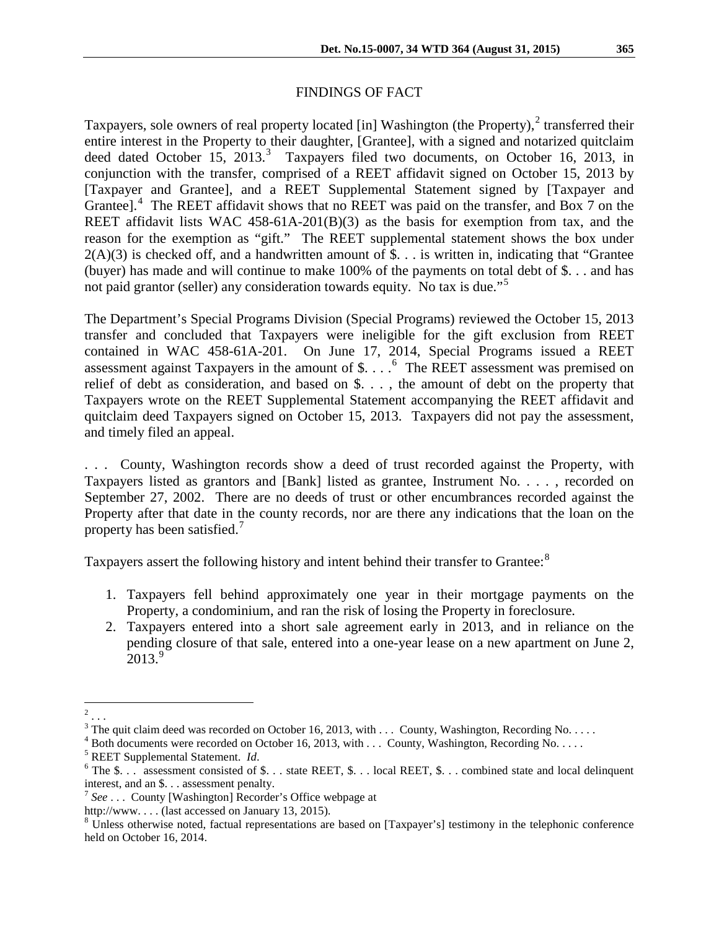# FINDINGS OF FACT

Taxpayers, sole owners of real property located [in] Washington (the Property),<sup>[2](#page-1-0)</sup> transferred their entire interest in the Property to their daughter, [Grantee], with a signed and notarized quitclaim deed dated October 15, 201[3](#page-1-1).<sup>3</sup> Taxpayers filed two documents, on October 16, 2013, in conjunction with the transfer, comprised of a REET affidavit signed on October 15, 2013 by [Taxpayer and Grantee], and a REET Supplemental Statement signed by [Taxpayer and Grantee].<sup>[4](#page-1-2)</sup> The REET affidavit shows that no REET was paid on the transfer, and Box 7 on the REET affidavit lists WAC 458-61A-201(B)(3) as the basis for exemption from tax, and the reason for the exemption as "gift." The REET supplemental statement shows the box under  $2(A)(3)$  is checked off, and a handwritten amount of \$... is written in, indicating that "Grantee" (buyer) has made and will continue to make 100% of the payments on total debt of \$. . . and has not paid grantor (seller) any consideration towards equity. No tax is due."<sup>[5](#page-1-3)</sup>

The Department's Special Programs Division (Special Programs) reviewed the October 15, 2013 transfer and concluded that Taxpayers were ineligible for the gift exclusion from REET contained in WAC 458-61A-201. On June 17, 2014, Special Programs issued a REET assessment against Taxpayers in the amount of \$. . . . [6](#page-1-4) The REET assessment was premised on relief of debt as consideration, and based on \$. . . , the amount of debt on the property that Taxpayers wrote on the REET Supplemental Statement accompanying the REET affidavit and quitclaim deed Taxpayers signed on October 15, 2013. Taxpayers did not pay the assessment, and timely filed an appeal.

. . . County, Washington records show a deed of trust recorded against the Property, with Taxpayers listed as grantors and [Bank] listed as grantee, Instrument No. . . . , recorded on September 27, 2002. There are no deeds of trust or other encumbrances recorded against the Property after that date in the county records, nor are there any indications that the loan on the property has been satisfied.<sup>[7](#page-1-5)</sup>

Taxpayers assert the following history and intent behind their transfer to Grantee:<sup>[8](#page-1-6)</sup>

- 1. Taxpayers fell behind approximately one year in their mortgage payments on the Property, a condominium, and ran the risk of losing the Property in foreclosure.
- 2. Taxpayers entered into a short sale agreement early in 2013, and in reliance on the pending closure of that sale, entered into a one-year lease on a new apartment on June 2,  $2013.<sup>9</sup>$  $2013.<sup>9</sup>$  $2013.<sup>9</sup>$

<span id="page-1-7"></span> $\frac{1}{2}$ ...

<span id="page-1-1"></span><span id="page-1-0"></span><sup>&</sup>lt;sup>3</sup> The quit claim deed was recorded on October 16, 2013, with ... County, Washington, Recording No.....<br>
<sup>4</sup> Both documents were recorded on October 16, 2013, with ... County, Washington, Recording No.....<br>
<sup>5</sup> REET Supp

<span id="page-1-2"></span>

<span id="page-1-3"></span>

<span id="page-1-4"></span>interest, and an \$. . . assessment penalty.

<span id="page-1-5"></span><sup>&</sup>lt;sup>7</sup> See . . . County [Washington] Recorder's Office webpage at

<span id="page-1-6"></span>http://www. . . . (last accessed on January 13, 2015).<br><sup>8</sup> Unless otherwise noted, factual representations are based on [Taxpayer's] testimony in the telephonic conference held on October 16, 2014.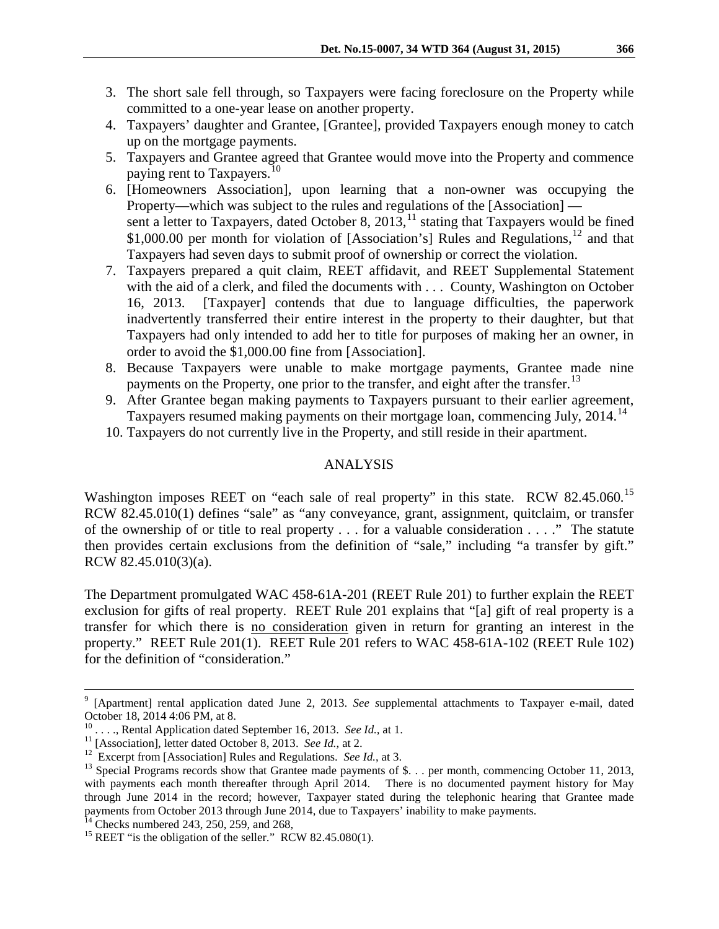- 3. The short sale fell through, so Taxpayers were facing foreclosure on the Property while committed to a one-year lease on another property.
- 4. Taxpayers' daughter and Grantee, [Grantee], provided Taxpayers enough money to catch up on the mortgage payments.
- 5. Taxpayers and Grantee agreed that Grantee would move into the Property and commence paying rent to Taxpayers.<sup>[10](#page-2-0)</sup>
- 6. [Homeowners Association], upon learning that a non-owner was occupying the Property—which was subject to the rules and regulations of the [Association] sent a letter to Taxpayers, dated October 8, 2013,  $^{11}$  $^{11}$  $^{11}$  stating that Taxpayers would be fined \$1,000.00 per month for violation of [Association's] Rules and Regulations,<sup>[12](#page-2-2)</sup> and that Taxpayers had seven days to submit proof of ownership or correct the violation.
- 7. Taxpayers prepared a quit claim, REET affidavit, and REET Supplemental Statement with the aid of a clerk, and filed the documents with . . . County, Washington on October 16, 2013. [Taxpayer] contends that due to language difficulties, the paperwork inadvertently transferred their entire interest in the property to their daughter, but that Taxpayers had only intended to add her to title for purposes of making her an owner, in order to avoid the \$1,000.00 fine from [Association].
- 8. Because Taxpayers were unable to make mortgage payments, Grantee made nine payments on the Property, one prior to the transfer, and eight after the transfer.<sup>[13](#page-2-3)</sup>
- 9. After Grantee began making payments to Taxpayers pursuant to their earlier agreement, Taxpayers resumed making payments on their mortgage loan, commencing July, 20[14](#page-2-4).<sup>14</sup>
- 10. Taxpayers do not currently live in the Property, and still reside in their apartment.

# ANALYSIS

Washington imposes REET on "each sale of real property" in this state. RCW 82.45.060.<sup>[15](#page-2-5)</sup> RCW 82.45.010(1) defines "sale" as "any conveyance, grant, assignment, quitclaim, or transfer of the ownership of or title to real property . . . for a valuable consideration . . . ." The statute then provides certain exclusions from the definition of "sale," including "a transfer by gift." RCW 82.45.010(3)(a).

The Department promulgated WAC 458-61A-201 (REET Rule 201) to further explain the REET exclusion for gifts of real property. REET Rule 201 explains that "[a] gift of real property is a transfer for which there is no consideration given in return for granting an interest in the property." REET Rule 201(1). REET Rule 201 refers to WAC 458-61A-102 (REET Rule 102) for the definition of "consideration."

 <sup>9</sup> [Apartment] rental application dated June 2, 2013. *See s*upplemental attachments to Taxpayer e-mail, dated October 18, 2014 4:06 PM, at 8.<br><sup>10</sup> . . . ., Rental Application dated September 16, 2013. *See Id.*, at 1.

<span id="page-2-3"></span>

<span id="page-2-2"></span><span id="page-2-1"></span><span id="page-2-0"></span><sup>&</sup>lt;sup>11</sup> [Association], letter dated October 8, 2013. *See Id.*, at 2.<br><sup>12</sup> Excerpt from [Association] Rules and Regulations. *See Id.*, at 3.<br><sup>13</sup> Special Programs records show that Grantee made payments of \$. . . per month, with payments each month thereafter through April 2014. There is no documented payment history for May through June 2014 in the record; however, Taxpayer stated during the telephonic hearing that Grantee made payments from October 2013 through June 2014, due to Taxpayers' inability to make payments.

<span id="page-2-5"></span><span id="page-2-4"></span><sup>&</sup>lt;sup>14</sup> Checks numbered 243, 250, 259, and 268, <sup>15</sup> REET "is the obligation of the seller." RCW 82.45.080(1).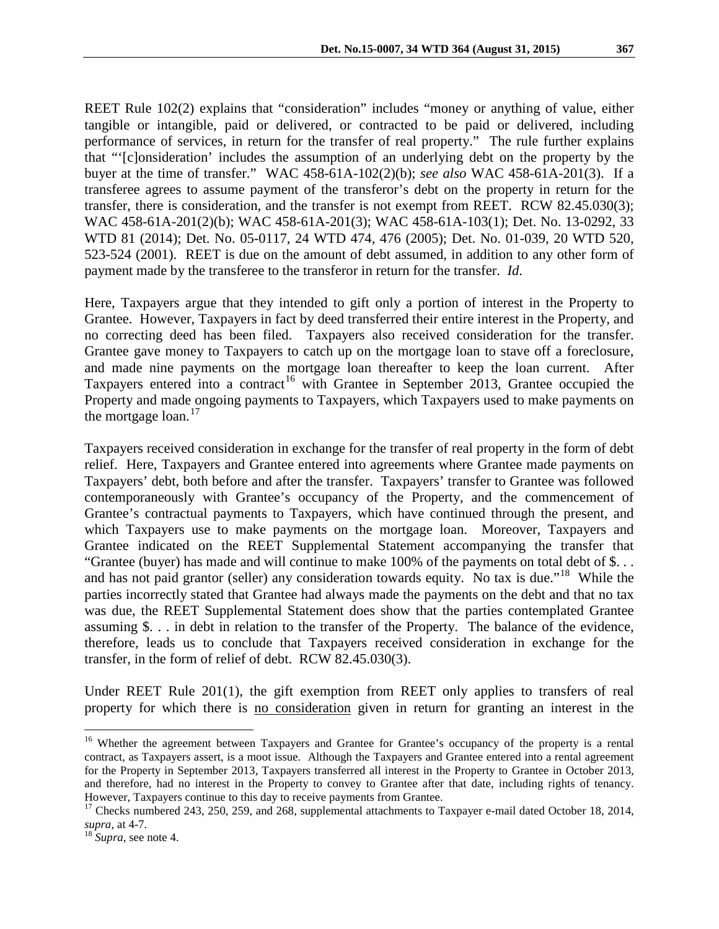REET Rule 102(2) explains that "consideration" includes "money or anything of value, either tangible or intangible, paid or delivered, or contracted to be paid or delivered, including performance of services, in return for the transfer of real property." The rule further explains that "'[c]onsideration' includes the assumption of an underlying debt on the property by the buyer at the time of transfer." WAC 458-61A-102(2)(b); *see also* WAC 458-61A-201(3). If a transferee agrees to assume payment of the transferor's debt on the property in return for the transfer, there is consideration, and the transfer is not exempt from REET. RCW 82.45.030(3); WAC 458-61A-201(2)(b); WAC 458-61A-201(3); WAC 458-61A-103(1); Det. No. 13-0292, 33 WTD 81 (2014); Det. No. 05-0117, 24 WTD 474, 476 (2005); Det. No. 01-039, 20 WTD 520, 523-524 (2001). REET is due on the amount of debt assumed, in addition to any other form of payment made by the transferee to the transferor in return for the transfer. *Id*.

Here, Taxpayers argue that they intended to gift only a portion of interest in the Property to Grantee. However, Taxpayers in fact by deed transferred their entire interest in the Property, and no correcting deed has been filed. Taxpayers also received consideration for the transfer. Grantee gave money to Taxpayers to catch up on the mortgage loan to stave off a foreclosure, and made nine payments on the mortgage loan thereafter to keep the loan current. After Taxpayers entered into a contract<sup>[16](#page-3-0)</sup> with Grantee in September 2013, Grantee occupied the Property and made ongoing payments to Taxpayers, which Taxpayers used to make payments on the mortgage loan. $17$ 

Taxpayers received consideration in exchange for the transfer of real property in the form of debt relief. Here, Taxpayers and Grantee entered into agreements where Grantee made payments on Taxpayers' debt, both before and after the transfer. Taxpayers' transfer to Grantee was followed contemporaneously with Grantee's occupancy of the Property, and the commencement of Grantee's contractual payments to Taxpayers, which have continued through the present, and which Taxpayers use to make payments on the mortgage loan. Moreover, Taxpayers and Grantee indicated on the REET Supplemental Statement accompanying the transfer that "Grantee (buyer) has made and will continue to make 100% of the payments on total debt of \$. . . and has not paid grantor (seller) any consideration towards equity. No tax is due."<sup>[18](#page-3-2)</sup> While the parties incorrectly stated that Grantee had always made the payments on the debt and that no tax was due, the REET Supplemental Statement does show that the parties contemplated Grantee assuming \$. . . in debt in relation to the transfer of the Property. The balance of the evidence, therefore, leads us to conclude that Taxpayers received consideration in exchange for the transfer, in the form of relief of debt. RCW 82.45.030(3).

Under REET Rule 201(1), the gift exemption from REET only applies to transfers of real property for which there is no consideration given in return for granting an interest in the

<span id="page-3-0"></span><sup>&</sup>lt;sup>16</sup> Whether the agreement between Taxpayers and Grantee for Grantee's occupancy of the property is a rental contract, as Taxpayers assert, is a moot issue. Although the Taxpayers and Grantee entered into a rental agreement for the Property in September 2013, Taxpayers transferred all interest in the Property to Grantee in October 2013, and therefore, had no interest in the Property to convey to Grantee after that date, including rights of tenancy.<br>However, Taxpayers continue to this day to receive payments from Grantee.

<span id="page-3-1"></span><sup>&</sup>lt;sup>17</sup> Checks numbered 243, 250, 259, and 268, supplemental attachments to Taxpayer e-mail dated October 18, 2014, *supra*, at 4-7.

<span id="page-3-2"></span><sup>&</sup>lt;sup>18</sup> *Supra*, see note 4.